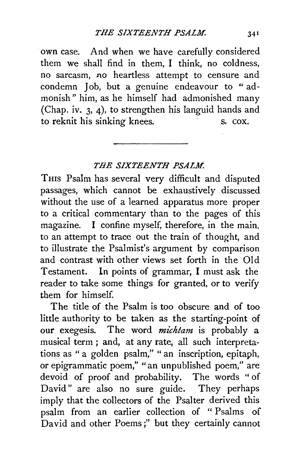own case. And when we have carefully considered them we shall find in them, I think, no coldness, no sarcasm, no heartless attempt to censure and condemn Job, but a genuine endeavour to "admonish" him, as he himself had admonished many (Chap. iv. 3, 4), to strengthen his languid hands and to reknit his sinking knees. S. COX.

# *THE SIXTEENTH PSALM.*

THIS Psalm has several very difficult and disputed passages, which cannot be exhaustively discussed without the use of a learned apparatus more proper to a critical commentary than to the pages of this magazine. I confine myself, therefore, in the main, to an attempt to trace out the train of thought, and to illustrate the Psalmist's argument by comparison and contrast with other views set forth in the Old Testament. In points of grammar, I must ask the reader to take some things for granted, or to verify them for himself.

The title of the Psalm is too obscure and of too little authority to be taken as the starting-point of our exegesis. The word *michtam* is probably a musical term ; and, at any rate, all such interpretations as " a golden psalm," " an inscription, epitaph, or epigrammatic poem," "an unpublished poem," are devoid of proof and probability. The words "of David" are also no sure guide. They perhaps imply that the collectors of the Psalter derived this psalm from an earlier collection of " Psalms of David and other Poems;" but they certainly cannot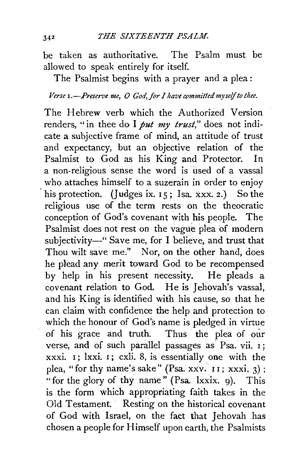be taken as authoritative. The Psalm must be allowed to speak entirely for itself.

The Psalmist begins with a prayer and a plea:

#### Verse 1.-Preserve me, O God, for I have committed myself to thee.

The Hebrew verb which the Authorized Version renders, "in thee do I *put my trust,"* does not indicate a subjective frame of mind, an attitude of trust and expectancy, but an objective relation of the Psalmist to God as his King and Protector. In a non-religious sense the word is used of a vassal who attaches himself to a suzerain in order to enjoy his protection. (Judges ix.  $15$ ; Isa. xxx. 2.) So the religious use of the term rests on the theocratic conception of God's covenant with his people. The Psalmist does not rest on the vague plea of modern subjectivity-" Save me, for I believe, and trust that Thou wilt save me." Nor, on the other hand, does he plead any merit toward God to be recompensed by help in his present necessity. He pleads a covenant relation to God. He is Jehovah's vassal, and his King is identified with his cause, so that he can claim with confidence the help and protection to which the honour of God's name is pledged in virtue of his grace and truth. Thus the plea of our verse, and of such parallel passages as Psa. vii. 1; xxxi. I; lxxi. I; cxli. 8, is essentially one with the plea, "for thy name's sake" (Psa. xxv. 11; xxxi. 3); " for the glory of thy name" ( $Psa$ . lxxix. 9). This is the form which appropriating faith takes in the Old Testament. Resting on the historical covenant of God with Israel, on the fact that Jehovah has chosen a people for Himself upon earth, the Psalmists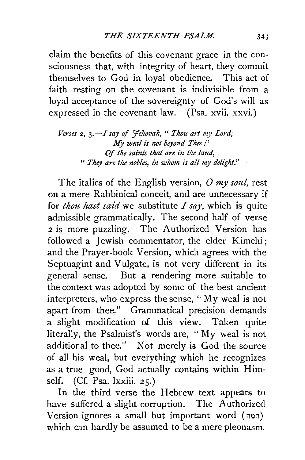claim the benefits of this covenant grace in the consciousness that, with integrity of heart, they commit themselves to God in loyal obedience. This act of faith resting on the covenant is indivisible from a loyal acceptance of the sovereignty of God's will as expressed in the covenant law. (Psa. xvii. xxvi.)

*Verses z,* 3.-I *say of 'Jelwvah, "Thou art my Lord; My Wl!al is not beyond Thee:'' Of the saints that are in the land,* " *They are the nobles, tit whom is all my delight.''* 

The italics of the English version, *0 my soul,* rest on a mere Rabbinical conceit, and are unnecessary if for *thou hast said* we substitute *I say*, which is quite admissible grammatically. The second half of verse 2 is more puzzling. The Authorized Version has followed a Jewish commentator, the elder Kimchi; and the Prayer-book Version, which agrees with the Septuagint and Vulgate, is not very different in its general sense. But a rendering more suitable to the context was adopted by some of the best ancient interpreters, who express the sense, " My weal is not apart from thee." Grammatical precision demands a slight modification *oi* this view. Taken quite literally, the Psalmist's words are, "My weal is not additional to thee." Not merely is God the source of all his weal, but everything which he recognizes as a true good, God actually contains within Himself. (Cf. Psa. lxxiii. 25.)

In the third verse the Hebrew text appears to have suffered a slight corruption. The Authorized Version ignores a small but important word  $(n\pi)$ . which can hardly be assumed to be a mere pleonasm.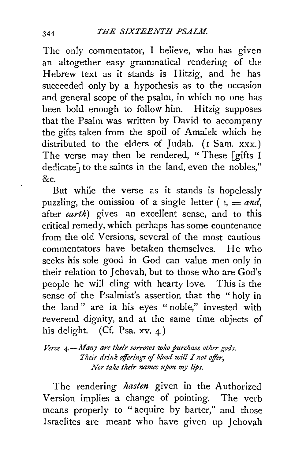The only commentator, I believe, who has given an altogether easy grammatical rendering of the Hebrew text as it stands is Hitzig, and he has succeeded only by a hypothesis as to the occasion and general scope of the psalm, in which no one has been bold enough to follow him. Hitzig supposes that the Psalm was written by David to accompany the gifts taken from the spoil of Amalek which he distributed to the elders of Judah. (I Sam. xxx.) The verse may then be rendered, "These [gifts I dedicate] to the saints in the land, even the nobles," &c.

But while the verse as it stands is hopelessly puzzling, the omission of a single letter ( $y =$  and, after *earth)* gives an excellent sense, and to this critical remedy, which perhaps has some countenance from the old Versions, several of the most cautious commentators have betaken themselves. He who seeks his sole good in God can value men only in their relation to Jehovah, but to those who are God's people he will cling with hearty love. This is the sense of the Psalmist's assertion that the " holy in the land " are ia his eyes " noble," invested with reverend dignity, and at the same time objects of his delight. (Cf. Psa. xv. 4.)

Verse 4.- Many are their sorrows who purchase other gods. *Their drink offerings* of *blood will I not offer, Nor take their names upon my lips.* 

The rendering *hasten* given in the Authorized Version implies a change of pointing. The verb means properly to "acquire by barter," and those Israelites are meant who have given up Jehovah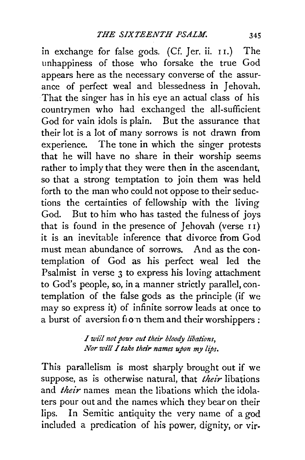in exchange for false gods. (Cf. Jer. ii. II.) The unhappiness of those who forsake the true God appears here as the necessary converse of the assurance of perfect weal and blessedness in Jehovah. That the singer has in his eye an actual class of his countrymen who had exchanged the all-sufficient God for vain idols is plain. But the assurance that their lot is a lot of many sorrows is not drawn from experience. The tone in which the singer protests that he will have no share in their worship seems rather to imply that they were then in the ascendant, so that a strong temptation to join them was held forth to the man who could not oppose to their seductions the certainties of fellowship with the living God. But to him who has tasted the fulness of joys that is found in the presence of Jehovah (verse  $11$ ) it is an inevitable inference that divorce from God must mean abundance of sorrows. And as the contemplation of God as his perfect weal led the Psalmist in verse 3 to express his loving attachment to God's people, so, in a manner strictly parallel, contemplation of the false gods as the principle (if we may so express it) of infinite sorrow leads at once to a burst of aversion from them and their worshippers :

> *I will not pour out their bloody libations, Nor wz'll* I *take thct'r names upon my lips.*

This parallelism is most sharply brought out if we suppose, as is otherwise natural, that *their* libations and *their* names mean the libations which the idolaters pour out and the names which they bear on their lips. In Semitic antiquity the very name of a god included a predication of his power, dignity, or vir·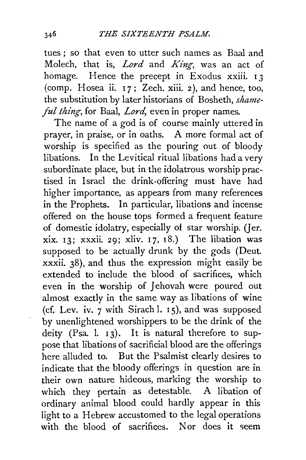tues ; so that even to utter such names as Baal and Molech, that is, *Lord* and *King*, was an act of homage. Hence the precept in Exodus  $xxiii. 13$ (comp. Hosea ii.  $17$ ; Zech. xiii. 2), and hence, too, the substitution by later historians of Bosheth, *shameful thiug,* for Baal, *Lord,* even in proper names.

The name of a god is of course mainly uttered in prayer, in praise, or in oaths. A more formal act of worship is specified as the pouring out of bloody libations. In the Levitical ritual libations had a very subordinate place, but in the idolatrous worship practised in Israel the drink-offering must have had higher importance, as appears from many references in the Prophets. In particular, libations and incense offered on the house tops formed a frequent feature of domestic idolatry, especially of star worship. (Jer. xix. 13; xxxii. 29; xliv. 17, 18.) The libation was supposed to be actually drunk by the gods (Deut. xxxii. 38), and thus the expression might easily be extended to include the blood of sacrifices, which even in the worship of Jehovah were poured out almost exactly in the same way as libations of wine (cf. Lev. iv.  $\tau$  with Sirach l.  $\tau$ , and was supposed by unenlightened worshippers to be the drink of the deity (Psa. l.  $13$ ). It is natural therefore to suppose that libations of sacrificial blood are the offerings here alluded to. But the Psalmist clearly desires to indicate that the bloody offerings in question are in their own nature hideous, marking the worship to which they pertain as detestable. A libation of ordinary animal blood could hardly appear in this light to a Hebrew accustomed to the legal operations with the blood of sacrifices. Nor does it seem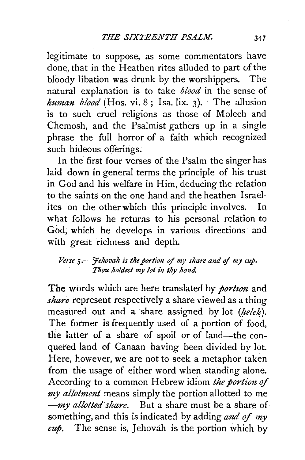legitimate to suppose, as some commentators have done, that in the Heathen rites alluded to part of the bloody libation was drunk by the worshippers. The natural explanation is to take *blood* in the sense of *human blood* (Hos. vi. 8 ; lsa. lix. 3). The allusion is to such cruel religions as those of Molech and Chemosh, and the Psalmist gathers up in a single phrase the full horror of a faith which recognized such hideous offerings.

In the first four verses of the Psalm the singer has laid down in general terms the principle of his trust in God and his welfare in Him, deducing the relation to the saints on the one hand and the heathen Israelites on the otherwhich this principle involves. In what follows he returns to his personal relation to G6d, which he develops in various directions and with great richness and depth.

# *Verse*  $5$ --*Hehovah is the portion of my share and of my cup. Thou holdest my lot in thy hand.*

The words which are here translated by *portzon* and *share* represent respectively a share viewed as a thing measured out and a share assigned by lot *(helek)*. The former is frequently used of a portion of food, the latter of a share of spoil or of land-the conquered land of Canaan having been divided by lot. Here, however, we are not to seek a metaphor taken from the usage of either word when standing alone. According to a common Hebrew idiom *the portion* of *my allotment* means simply the portion allotted to me *-my allotted share.* But a share must be a share of something, and this is indicated by adding *and* of *my cup*. The sense is, Jehovah is the portion which by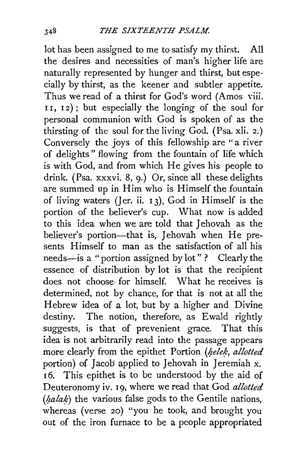lot has been assigned to me to satisfy my thirst. All the desires and necessities of man's higher life are naturally represented by hunger and thirst, but especially by thirst, as the keener and subtler appetite. Thus we read of a thirst for God's word (Amos viii. I I, I 2) ; but especially the longing of the soul for personal communion with God is spoken of as the thirsting of the soul for the living God. (Psa. xli. 2.) Conversely the joys of this fellowship are "a river of delights" flowing from the fountain of life which is with God, and from which He gives his people to drink. (Psa. xxxvi. 8, 9.) Or, since all these delights are summed up in Him who is Himself the fountain of living waters (Jer. ii.  $13$ ), God in Himself is the portion of the believer's cup. What now is added to this idea when we are told that Jehovah as the believer's portion-that is, Jehovah when He presents Himself to man as the satisfaction of all his needs—is a "portion assigned by lot"? Clearly the essence of distribution by lot is that the recipient does not choose· for himself. What he receives is determined, not by chance, for that is not at all the Hebrew idea of a lot, but by a higher and Divine destiny. The notion, therefore, as Ewald rightly suggests, is that of prevenient grace. That this idea is not arbitrarily read into the passage appears more clearly from the epithet Portion (helek, allotted portion) of Jacob applied to Jehovah in Jeremiah x. <sup>I</sup>6. This epithet is to be understood by the aid of Deuteronomy iv. 19, where we read that God *allotted*   $(halak)$  the various false gods to the Gentile nations, whereas (verse 20) "you he took, and brought you out of the iron furnace to be a people appropriated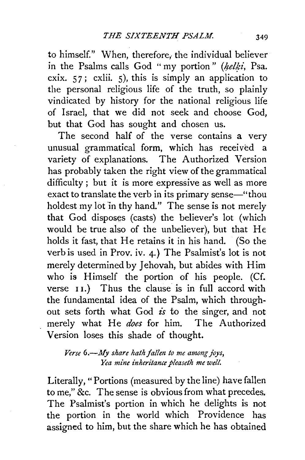to himself." When, therefore, the individual believer in the Psalms calls God "my portion" (helki, Psa. cxix.  $57$ ; cxlii.  $5$ ), this is simply an application to the personal religious life of the truth, so plainly vindicated by history for the national religious life of Israel, that we did not seek and choose God, but that God has sought and chosen us.

The second half of the verse contains a very unusual grammatical form, which has received a variety of explanations. The Authorized Version has probably taken the right view of the grammatical difficulty ; but it is more expressive as well as more exact to translate the verb in its primary sense—" thou holdest my lot in thy hand." The sense is not merely that God disposes (casts) the believer's lot (which would be true also of the unbeliever), but that He holds it fast, that He retains it in his hand. (So the verb is used in Prov. iv. 4·) The Psalmist's lot is not merely determined by Jehovah, but abides with Him who is Himself the portion of his people. (Cf. verse 1 1.) Thus the clause is in full accord with the fundamental idea of the Psalm, which throughout sets forth what God *z's* to the singer, and not merely what He *does* for him. The Authorized Version loses this shade of thought.

*Verse* 6.—My share hath fallen to me among joys, Yea mine inheritance pleaseth me well.

Literally," Portions (measured by the line) have fallen to me," &c. The sense is obvious from what precedes. The Psalmist's portion in which he delights is not the portion in the world which Providence has assigned to him, but the share which he has obtained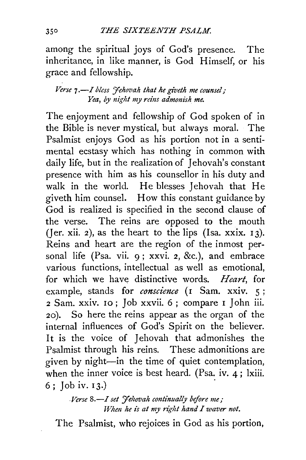among the spiritual joys of God's presence. The inheritance, in like manner, is God Himself, or his grace and fellowship.

### *Verse*  $7 - I$  bless '*Hehovah that he giveth me counsel*; *Yea, by night my reins admonish me.*

The enjoyment and fellowship of God spoken of in the Bible is never mystical, but always moral. The Psalmist enjoys God as his portion not in a sentimental ecstasy which has nothing in common with daily life, but in the realization of Jehovah's constant presence with him as his counsellor in his duty and walk in the world. He blesses Jehovah that He giveth him counsel. How this constant guidance by God is realized is specified in the second clause of the verse. The reins are opposed to the mouth (Jer. xii. 2), as the heart to the lips (Isa.  $xxix. 13$ ). Reins and heart are the region of the inmost personal life (Psa. vii.  $9:$  xxvi. 2, &c.), and embrace various functions, intellectual as well as emotional, for which we have distinctive words. *Heart,* for example, stands for *conscience* (I Sam. xxiv. 5 ; <sup>2</sup>Sam. xxiv. 10 ; Job xxvii. 6 ; compare 1 John iii. 20). So here the reins appear as the organ of the internal influences of God's Spirit on the believer. It is the voice of Jehovah that admonishes the Psalmist through his reins. These admonitions are given by night-in the time of quiet contemplation, when the inner voice is best heard. (Psa. iv. 4; lxiii. 6:  $\{ob\ iv. 13.\}$ 

> *Verse* 8.-I *set 'Jehovah continually before me\_- When he is at my right hand I waver not.*

The Psalmist, who rejoices in God as his portion,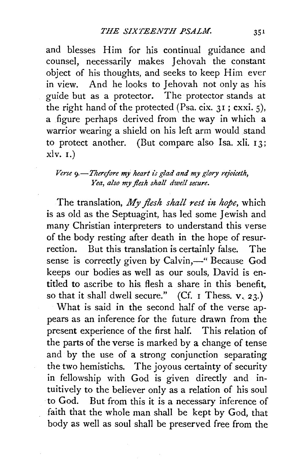and blesses Him for his continual guidance and counsel, necessarily makes Jehovah the constant object of his thoughts, and seeks to keep Him ever in view. And he looks to Jehovah not only as his guide but as a protector. The protector stands at the right hand of the protected (Psa. cix. 31; cxxi. 5), a figure perhaps derived from the way in which a warrior wearing a shield on his left arm would stand to protect another. (But compare also Isa. xli.  $13$ ; xlv. r.)

#### *Verse 9.*-Therefore my heart is glad and my glory rejoiceth, *Yea, also my flesh shall dwell secure.*

The translation, *My flesh shall rest in hope,* which is as old as the Septuagint, has led some Jewish and many Christian interpreters to understand this verse of the body resting after death in the hope of resurrection. But this translation is certainly false. The sense is correctly given by Calvin,—" Because God keeps our bodies as well as our souls, David is entitled to ascribe to his. flesh a share in this benefit, so that it shall dwell secure." (Cf. I Thess.  $v. 23$ .)

What is said in the second half of the verse appears as an inference for the future drawn from the present experience of the first half. This relation of the parts of the verse is marked by a change of tense and by the use of a strong conjunction separating the two hemistichs. The joyous certainty of security in fellowship with God is given directly and intuitively to the believer only as a relation of his soul to God. But from this it is a necessary inference of faith that the whole man shall be kept by God, that body as well as soul shall be preserved free from the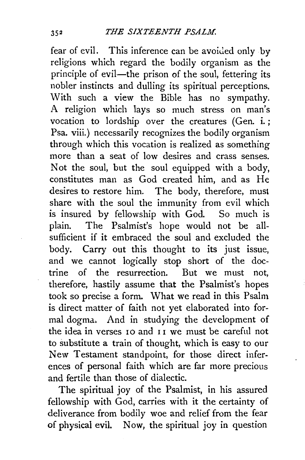fear of evil. This inference can be avoided only by religions which regard the bodily organism as the principle of evil—the prison of the soul, fettering its nobler instincts and dulling its spiritual perceptions. With such a view the Bible has no sympathy. A religion which lays so much stress on man's vocation to lordship over the creatures (Gen. i.; Psa. viii.) necessarily recognizes the bodily organism through which this vocation is realized as something more than a seat of low desires and crass senses. Not the soul, but the soul equipped with a body, constitutes man as God created him, and as He desires to restore him. The body, therefore, must share with the soul the immunity from evil which is insured by fellowship with God. So much is plain. The Psalmist's hope would not be allsufficient if it embraced the soul and excluded the body. Carry out this thought to its just issue, and we cannot logically stop short of the doctrine of the resurrection. But we must not, therefore, hastily assume that the Psalmist's hopes took so precise a form. What we read in this Psalm is direct matter of faith not yet elaborated into formal dogma. And in studying the development of the idea in verses 10 and 11 we must be careful not to substitute a train of thought, which is easy to our New Testament standpoint, for those direct inferences of personal faith which are far more precious and fertile than those of dialectic.

The spiritual joy of the Psalmist, in his assured fellowship with God, carries with it the certainty of deliverance from bodily woe and relief from the fear of physical evil. Now, the spiritual joy in question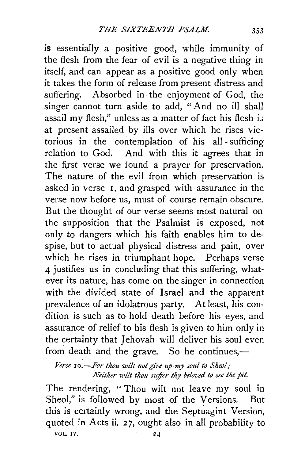is essentially a positive good, while immunity of the flesh from the fear of evil is a negative thing in itself, and can appear as a positive good only when it takes the form of release from present distress and suffering. Absorbed in the enjoyment of God, the singer cannot turn aside to add, " And no ill shall assail my flesh," unless as a matter of fact his flesh is at present assailed by ills over which he rises victorious in the contemplation of his all - sufficing relation to God. And with this it agrees that in the first verse we found a prayer for preservation. The nature of the evil from which preservation is asked in verse I, and grasped with assurance in the verse now before us, must of course remain obscure. But the thought of our verse seems most natural on the supposition that the Psalmist is exposed, not only to dangers which his faith enables him to despise, but to actual physical distress and pain, over which he rises in triumphant hope. .Perhaps verse 4 justifies us in concluding that this suffering, whatever its nature, has come on the singer in connection with the divided state of Israel and the apparent prevalence of an idolatrous party. At least, his condition is such as to hold death before his eyes, and assurance of relief to his flesh is given to him only in the certainty that Jehovah will deliver his soul even from death and the grave. So he continues, $-$ 

Verse 10.-For thou wilt not give up my soul to Sheol; *Neither wilt thou st!ffer thy beloved to see the* pit.

The rendering, "Thou wilt not leave my soul in Sheol," is followed by most of the Versions. But this is certainly wrong, and the Septuagint Version, quoted in Acts ii. 27, ought also in all probability to

VOL. IV.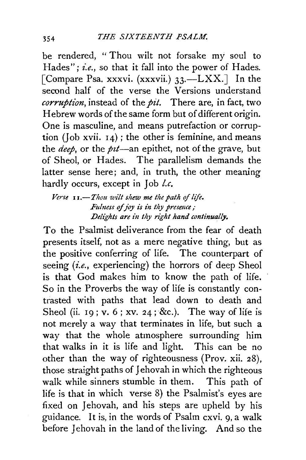be rendered, " Thou wilt not forsake my soul to Hades"; *i.e.*, so that it fall into the power of Hades. [Compare Psa. xxxvi. (xxxvii.) 33.— $LXX$ .] In the second half of the verse the Versions understand *corruption,* instead of the *pit.* There are, in fact, two Hebrew words of the same form but of different origin. One is masculine, and means putrefaction or corruption (Job xvii.  $14$ ); the other is feminine, and means the *deep,* or the *pzt-an* epithet, not of the grave, but of Sheol, or Hades. The parallelism demands the latter sense here; and, in truth, the other meaning hardly occurs, except in Job *l.c.* 

*Verse* **x1.** -- Thou wilt shew me the path of life. *Fulness of joy is in thy presence*; *.Delights are in thy right hand continually.* 

To the Psalmist deliverance from the fear of death presents itself, not as a mere negative thing, but as the positive conferring of life. The counterpart of seeing *(i.e.,* experiencing) the horrors of deep Sheol is that God makes him to know the path of life. So in the Proverbs the way of life is constantly contrasted with paths that lead down to death and Sheol (ii. 19; v. 6; xv. 24; &c.). The way of life is not merely a way that terminates in life, but such a way that the whole atmosphere surrounding him that walks in it is life and light. This can be no other than the way of righteousness (Prov. xii. 28), those straight paths of Jehovah in which the righteous walk while sinners stumble in them. This path of life is that in which verse 8) the Psalmist's eyes are fixed on Jehovah, and his steps are upheld by his guidance. It is, in the words of Psalm cxvi. 9, a walk before Jehovah in the land of the living. And so the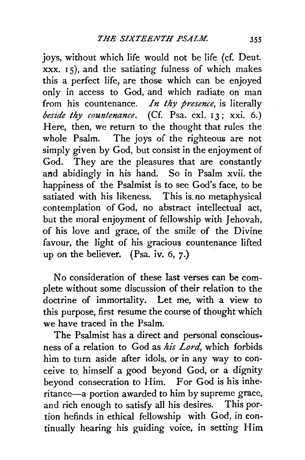joys, without which life would not be life (cf. Deut. XXX. I 5), and the satiating fulness of which makes this a perfect life, are those which can be enjoyed only in access to God, and which radiate on man from his countenance. *In thy presence,* is literally *beside thy countenance.* (Cf. Psa. cxl. 13; xxi. 6.) Here, then, we return to the thought that rules the whole Psalm. The joys of the righteous are not simply given by God, but consist in the enjoyment of God. They are the pleasures that are constantly and abidingly in his hand. So in Psalm xvii. the happiness of the Psalmist is to see God's face, to be satiated with his likeness. This is. no metaphysical contemplation of God, no abstract intellectual act, but the moral enjoyment of fellowship with Jehovah, of his love and grace, of the smile of the Divine favour, the light of his gracious countenance lifted up on the believer. ( Psa. iv. 6, *7* .)

No consideration of these last verses can be complete without some discussion of their relation to the doctrine of immortality. Let me, with a view to this purpose, first resume the course of thought which we have traced in the Psalm.

The Psalmist has a direct and personal conscious. ness of a relation to God as *his Lord*, which forbids him to turn aside after idols, or in any way to conceive to. himself a good beyond God, or a dignity beyond consecration to Him. For God is his inheritance-a portion awarded to him by supreme grace, and rich enough to satisfy all his desires. This portion hefinds in ethical fellowship with God, in continually hearing his guiding voice, in setting Him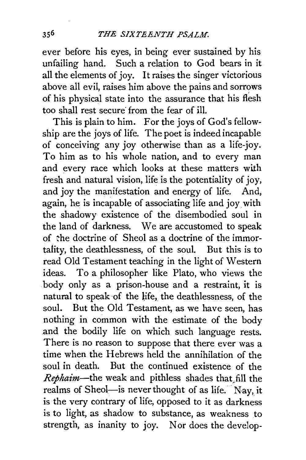ever before his eyes, in being ever sustained by his unfailing hand. Such a relation to God bears in it all the elements of joy. It raises the singer victorious above all evil, raises him above the pains and sorrows of his physical state into the assurance that his flesh too shall rest secure· from the fear of ill.

This is plain to him. For the joys of God's fellowship are the joys of life. The poet is indeed incapable of conceiving any joy otherwise than as a life-joy. To him as to his whole nation, and to every man and every race which looks at these matters with fresh and natural vision, life is the potentiality of joy, and joy the manifestation and energy of life. And, again, he is incapable of associating life and joy with the shadowy existence of the disembodied soul in the land of darkness. We are accustomed to speak of ~he doctrine of Sheol as a doctrine of the immortatity, the deathlessness, of the soul. But this is to read Old Testament teaching in the light of Western ideas. To a philosopher like Plato, who views the body only as a prison-house and a restraint, it is natural to speak of the life, the deathlessness, of the soul. But the Old Testament, as we have seen, has nothing in common with the estimate of the body and the bodily life on which such language rests. There is no reason to suppose that there ever was a time when the Hebrews held the annihilation of the soul in death. But the continued existence of the *Rephaim*—the weak and pithless shades that fill the realms of Sheol-is never thought of as life. Nay, it is the very contrary of life, opposed to it as darkness is to light, as shadow to substance, as weakness to strength, as inanity to joy. Nor does the develop-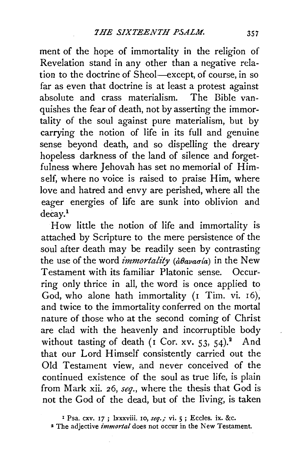ment of the hope of immortality in the religion of Revelation stand in any other than a negative relation to the doctrine of Sheol-except, of course, in so far as even that doctrine is at least a protest against<br>absolute and crass materialism. The Bible vanabsolute and crass materialism. quishes the fear of death, not by asserting the immortality of the soul against pure materialism, but by carrying the notion of life in its full and genuine sense beyond death, and so dispelling the dreary hopeless darkness of the land of silence and forgetfulness where Jehovah has set no memorial of Himself, where no voice is raised to praise Him, where love and hatred and envy are perished, where all the eager energies of life are sunk into oblivion and decay.<sup>1</sup>

How little the notion of life and immortality is attached by Scripture to the mere persistence of the soul after death may be readily seen by contrasting the use of the word *immortality (a8avacr{a)* in the New Testament with its familiar Platonic sense. Occurring only thrice in all, the word is once applied to God, who alone hath immortality (I Tim. vi. I6), and twice to the immortality conferred on the mortal nature of those who at the second coming of Christ are clad with the heavenly and incorruptible body without tasting of death (I Cor. xv.  $53, 54$ ).<sup>2</sup> And that our Lord Himself consistently carried out the Old Testament view, and never conceived of the continued existence of the soul as true life, is plain from Mark xii. 26, *seq.,* where the thesis that God is not the God of the dead, but of the living, is taken

<sup>1</sup> Psa. cxv. 17 ; lxxxviii. ro, *seq./* vi. 5 ; Eccles. ix. &c.

a The adjective *immortal* does not occur in the New Testament.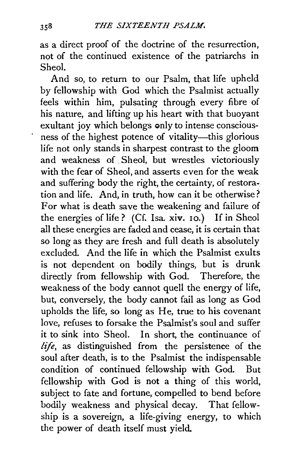as a direct proof of the doctrine of the resurrection, not of the continued existence of the patriarchs in Sheol.

And so, to return to our Psalm, that life upheld by fellowship with God which the Psalmist actually feels within him, pulsating through every fibre of his nature, and lifting up his heart with that buoyant exultant joy which belongs only to intense consciousness of the highest potence of vitality-this glorious life not only stands in sharpest contrast to the gloom and weakness of Sheol, but wrestles victoriously with the fear of Sheol, and asserts even for the weak and suffering body the right, the certainty, of restorar tion and life. And, in truth, how can it be otherwise? For what is death save the weakening and failure of the energies of life?  $(CF. Isa. xiv. 10.)$  If in Sheol all these energies are faded and cease, it is certain that so long as they are fresh and full death is absolutely excluded. And the life in which the Psalmist exults is not dependent on bodily things, but is drunk directly from fellowship with God. Therefore, the weakness of the body cannot quell the energy of life, but, conversely, the body cannot fail as long as God upholds the life, so long as He, true to his covenant love, refuses to forsake the Psalmist's soul and suffer it to sink into Sheol. In short, the continuance of *life,* as distinguished from the persistence of the soul after death, is to the Psalmist the indispensable condition of continued fellowship with God. But fellowship with God is not a thing of this world, subject to fate and fortune, compelled to bend before bodily weakness and physical decay. That fellowship is a sovereign, a life-giving energy, to which the power of death itself must yield.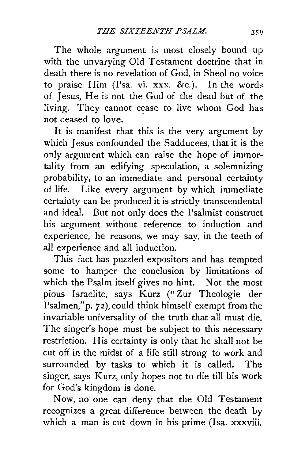The whole argument is most closely bound up with the unvarying Old Testament doctrine that in death there is no revelation of God, in Sheol no voice to praise Him (Psa. vi. xxx. &c.). In the words of Jesus, He is not the God of the dead but of the living. They cannot cease to live whom God has not ceased to love. .

It is manifest that this is the very argument by which Jesus confounded the Sadducees, that it is the only argument which can raise the hope of immortality from an edifying speculation, a solemnizing probability, to an immediate and personal certainty of life. Like every argument by which immediate certainty can be produced it is strictly transcendental and ideal. But not only does the Psalmist construct his argument without reference to induction and experience, he reasons, we may say, in the teeth of all experience and all induction.

This fact has puzzled expositors and has tempted some to hamper the conclusion by limitations of which the Psalm itself gives no hint. Not the most pious Israelite, says Kurz (" Zur Theologie der Psalmen,"p. 72), could think himself exempt from the invariable universality of the truth that all must die. The singer's hope must be subject to this necessary restriction. His certainty is only that he shall not be cut off in the midst of a life still strong to work and surrounded by tasks to which it is called. The. singer, says Kurz, only hopes not to die till his work for God's kingdom is done.

Now, no one can deny that the Old Testament recognizes a great difference between the death by which a man is cut down in his prime (Isa. xxxviii.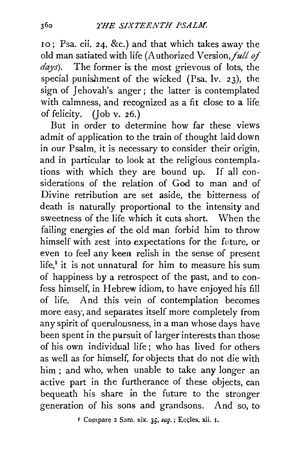10; Psa. cii. 24, &c.) and that which takes away the old man satiated with life (Authorized *Version,full of days).* The former is the most grievous of lots, the special punishment of the wicked (Psa. lv. 23), the sign of Jehovah's anger; the latter is contemplated with calmness, and recognized as a fit close to a life of felicity. (Job v. 26.)

But in order to determine how far these views admit of application to the train of thought laid down in our Psalm, it is necessary to consider their origin, and in particular to look at the religious contemplations with which they are bound up. If all considerations of the relation of God to man and of Divine retribution are set aside, the bitterness of death is naturally proportional to the intensity and sweetness of the life which it cuts short. When the failing energies of the old man forbid him to throw himself with zest into expectations for the future, or even to feel any keen relish in the sense of present  $l$ ife,<sup> $l$ </sup> it is not unnatural for him to measure his sum of happiness by a retrospect of the past, and to confess himself, in Hebrew idiom, to have enjoyed his fill of life. And this vein of contemplation becomes more easy, and separates itself more completely from any spirit of querulousness, in a man whose days have been spent in the pursuit of larger interests than those of his own individual life ; who has lived for others as well as for himself, for objects that do not die with him ; and who, when unable to take any longer an active part in the furtherance of these objects, can bequeath his share ih the future to the stronger generation of his sons and grandsons. And so, to

I Compare 2 Sam. *xix.* 35, *sq .. ;* Eccles. xii. t.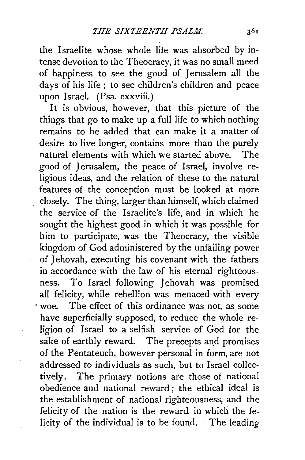the Israelite whose whole life was absorbed by intense devotion to the Theocracy, it was no small meed of happiness to see the good of Jerusalem all the days of his life; to see children's children and peace upon Israel. (Psa. cxxviii.)

It is obvious, however, that this picture of the things that go to make up a full life to which nothing remains to be added that can make it a matter of desire to live longer, contains more than the purely natural elements with which we started above. The good of Jerusalem, the peace of Israel, involve religious ideas, and the relation of these to the natural features of the conception must be looked at more closely. The thing, larger than himself, which claimed the service of the Israelite's life, and in which he sought the highest good in which it was possible for him to participate, was the Theocracy, the visible kingdom of God administered by the unfailing power of Jehovah, executing his covenant with the fathers in accordance with the law of his eternal righteousness. To Israel following Jehovah was promised all felicity, while rebellion was menaced with every · woe. The effect of this ordinance was not, as some have superficially supposed, to reduce the whole religion of Israel to a selfish service of God for the sake of earthly reward. The precepts and promises of the Pentateuch, however personal in form, are not addressed to individuals as such, but to Israel collectively. The primary notions are those of national obedience and national reward ; the ethical ideal is the establishment of national righteousness, and the felicity of the nation is the reward in which the felicity of the individual is to be found. The leading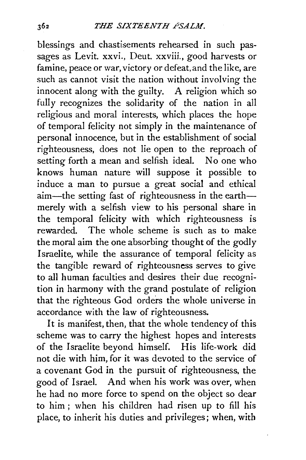blessings and chastisements rehearsed in such passages as Levit. xxvi., Deut. xxviii., good harvests or famine, peace or war, victory or defeat, and the like, are such as cannot visit the nation without involving the innocent along with the guilty. A religion which so fully recognizes the solidarity of the nation in all religious and moral interests, which places the hope of temporal felicity not simply in the maintenance of personal innocence, but in the establishment of social righteousness, does not lie open to the reproach of setting forth a mean and selfish ideal. No one who knows human nature will suppose it possible to induce a man to pursue a great social and ethical aim-the setting fast of righteousness in the earthmerely with a selfish view to his personal share in the temporal felicity with which righteousness is rewarded. The whole scheme is such as to make the moral aim the one absorbing thought of the godly Israelite, while the assurance of temporal felicity as the tangible reward of righteousness serves to give to all human faculties and desires their due recognition in harmony with the grand postulate of religion that the righteous God orders the whole universe in accordance with the law of righteousness.

It is manifest, then, that the whole tendency of this scheme was to carry the highest hopes and interests of the Israelite beyond himself. His life-work did not die with him, for it was devoted to the service of a covenant God in the pursuit of righteousness, the good of Israel. And when his work was over, when he had no more force to spend on the object so dear to him; when his children had risen up to fill his place, to inherit his duties and privileges; when, with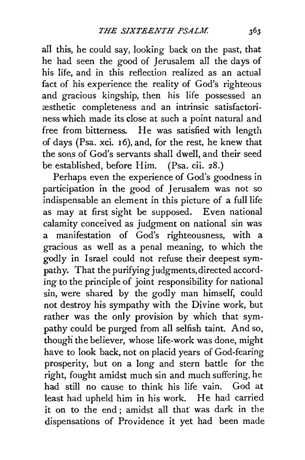all this, he could say, looking back on the past, that he had seen the good of Jerusalem all the days of his life, and in this reflection realized as an actual fact of his experience the reality of God's righteous and gracious kingship, then his life possessed an cesthetic completeness and an intrinsic satisfactoriness which made its close at such a point natural and free from bitterness. He was satisfied with length of days (Psa. xci. 16), and, for the rest, he knew that the sons of God's servants shall dwell, and their seed be established, before Him. (Psa. cii. 28.)

Perhaps even the experience of God's goodness in participation in the good of Jerusalem was not so indispensable an element in this picture of a full life as may at first sight be supposed. Even national calamity conceived as judgment on national sin was a manifestation of God's righteousness, with a gracious as well as a penal meaning, to which the godly in Israel could not refuse their deepest sympathy. That the purifying judgments, directed according to the principle of joint responsibility for national sin, were shared by the godly man himself, could not destroy his sympathy with the Divine work, but rather was the only provision by which that sympathy could be purged from all selfish taint. And so, though the believer, whose life-work was done, might have to look back, not on placid years of God-fearing prosperity, but on a long and stern battle for the right, fought amidst much sin and much suffering, he had still no cause to think his life vain. God at least had upheld him in his work. He had carried it on to the end ; amidst all that was dark in the dispensations of Providence it yet had been made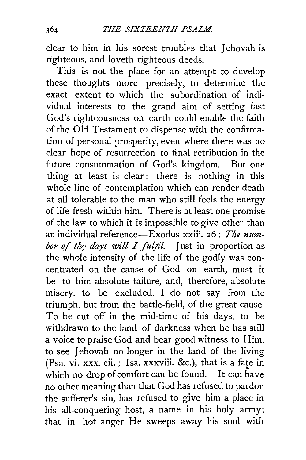clear to him in his sorest troubles that Jehovah is righteous, and loveth righteous deeds.

This is not the place for an attempt to develop these thoughts more precisely, to determine the exact extent to which the subordination of individual interests to the grand aim of setting fast God's righteousness on earth could enable the faith of the Old Testament to dispense with the confirmation of personal prosperity, even where there was no clear hope of resurrection to final retribution in the future consummation of God's kingdom. But one thing at least is clear: there is nothing in this whole line of contemplation which can render death at all tolerable to the man who still feels the energy of life fresh within him. There is at least one promise of the law to which it is impossible to give other than an individual reference-Exodus xxiii. 26: *The number of thy days will I fuljil.* Just in proportion as the whole intensity of the life of the godly was concentrated on the cause of God on earth, must it be to him absolute failure, and, therefore, absolute misery, to be excluded, I do not say from the triumph, but from the battle-field, of the great cause. To be cut off in the mid-time of his days, to be withdrawn to the land of darkness when he has still a voice to praise God and bear good witness to Him, to see Jehovah no longer in the land of the living (Psa. vi. xxx. cii.; Isa. xxxviii. &c.), that is a fate in which no drop of comfort can be found. It can have no other meaning than that God has refused to pardon the sufferer's sin, has refused to give him a place in his all-conquering host, a name in his holy army; that in hot anger He sweeps away his soul with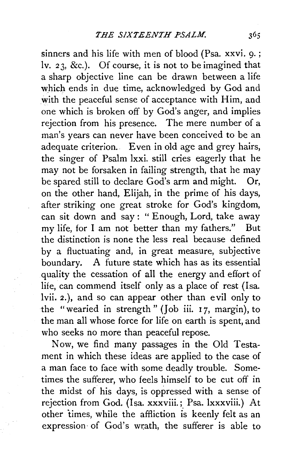sinners and his life with men of blood (Psa. xxvi. 9.; lv. 23, &c.). Of course, it is not to be imagined that a sharp objective line can be drawn between a life which ends in due time, acknowledged by God and with the peaceful sense of acceptance with Him, and one which is broken off by God's anger, and implies rejection from his presence. The mere number of a man's years can never have been conceived to be an adequate criterion. Even in old age and grey hairs, the singer of Psalm lxxi. still cries eagerly that he may not be forsaken in failing strength, that he may be spared still to declare God's arm and might. Or, on the other hand, Elijah, in the prime of his days, after striking one great stroke for God's kingdom, can sit down and say: "Enough, Lord, take away my life, for I am not better than my fathers." But the distinction is none the less real because defined by a fluctuating and, in great measure, subjective boundary. A future state which has as its essential quality the cessation of all the energy and effort of life, can commend itself only as a place of rest (Isa. lvii. 2.), and so can appear other than evil only to the "wearied in strength " (Job iii. 17, margin), to the man all whose force for life on earth is spent, and who seeks no more than peaceful repose.

Now, we find many passages in the Old Testament in which these ideas are applied to the case of a man face to face with some deadly trouble. Sometimes the sufferer, who feels himself to be cut off in the midst of his days, is oppressed with a sense of rejection from God. (Isa. xxxviii.; Psa. lxxxviii.) At other times, while the affliction is keenly felt as an expression of God's wrath, the sufferer is able to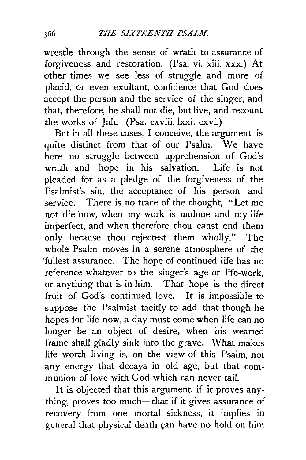wrestle through the sense of wrath to assurance of forgiveness and restoration. (Psa. vi. xiii. xxx.) At other times we see less of struggle and more of placid, or even exultant, confidence that God does accept the person and the service of the singer, and that, therefore, he shall not die, but live, and recount the works of Jah.  $(Psa. cxyiii. lxxi. cxyi.)$ 

But in all these cases, I conceive, the argument is quite distinct from that of our Psalm. We have here no struggle between apprehension of God's wrath and hope in his salvation. Life is not pleaded for as a pledge of the forgiveness of the Psalmist's sin, the acceptance of his person and service. There is no trace of the thought, "Let me not die now, when my work is undone and my life imperfect, and when therefore thou canst end them only because thou rejectest them wholly." The whole Psalm moves in a serene atmosphere of the (fullest assurance. The hope of continued life has no or anything that is in him. That hope is the direct reference whatever to the singer's age or life-work, fruit of God's continued love. It is impossible to suppose the Psalmist tacitly to add that though he hopes for life now, a day must come when life can no longer be an object of desire, when his wearied frame shall gladly sink into the grave. What makes life worth living is, on the view of this Psalm, not any energy that decays in old age, but that communion of love with God which can never fail.

It is objected that this argument, if it proves anything, proves too much-that if it gives assurance of recovery from one mortal sickness, it implies in general that physical death can have no hold on him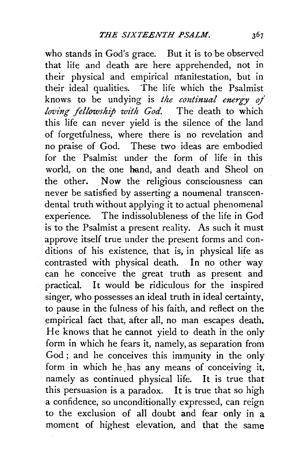who stands in God's grace. But it is to be observed that life and death are here apprehended, not in their physical and empirical manifestation, but in their ideal qualities. The life which the Psalmist knows to be undying is *the continual energy of loving fellowship 'With God.* The death to which this life can never yield is the silence of the land of forgetfulness, where there is no revelation and no praise of God. These two ideas are embodied for the Psalmist under the form of life in this world, on the one hand, and death and Sheol on the other. Now the religious consciousness can never be satisfied by asserting a noumenal transcendental truth without applying it to actual phenomena] experience. The indissolubleness of the life in God is to the Psalmist a present reality. As such it must approve itself true under the present forms and conditions of his existence, that is, in physical life as contrasted with physical death. In no other way can he conceive the great truth as present and practical. It would be ridiculous for the inspired singer, who possesses an ideal truth in ideal certainty, to pause in the fulness of his faith, and reflect on the empirical fact that, after all, no man escapes death. He knows that he cannot yield to death in the only form in which he fears it, namely, as separation from God; and he conceives this immunity in the only form in which he has any means of conceiving it, namely as continued physical life. It is true that this persuasion is a paradox. It is true that so high a confidence, so unconditionally expressed, can reign to the exclusion of all doubt and fear only in a moment of highest elevation, and that the same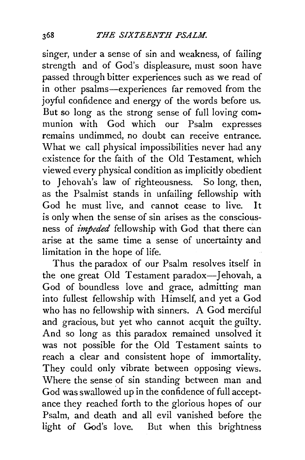singer, under a sense of sin and weakness, of failing strength and of God's displeasure, must soon have passed through bitter experiences such as we read of in other psalms-experiences far removed from the joyful confidence and energy of the words before us. But so long as the strong sense of full loving communion with God which our Psalm expresses remains undimmed, no doubt can receive entrance. What we call physical impossibilities never had any existence for the faith of the Old Testament, which viewed every physical condition as implicitly obedient to Jehovah's law of righteousness. So long, then, as the Psalmist stands in unfailing fellowship with God he must live, and cannot cease to live. It is only when the sense of sin arises as the consciousness of *impeded* fellowship with God that there can arise at the same time a sense of uncertainty and limitation in the hope of life.

Thus the paradox of our Psalm resolves itself in the one great Old Testament paradox-Jehovah, a God of boundless love and grace, admitting man into fullest fellowship with Himself, and yet a God who has no fellowship with sinners. A God merciful and gracious, but yet who cannot acquit the guilty. And so long as this paradox remained unsolved it was not possible for the Old Testament saints to reach a clear and consistent hope of immortality. They could only vibrate between opposing views. Where the sense of sin standing between man and God was swallowed up in the confidence of full acceptance they reached forth to the glorious hopes of our Psalm, and death and all evil vanished before the light of God's love. But when this brightness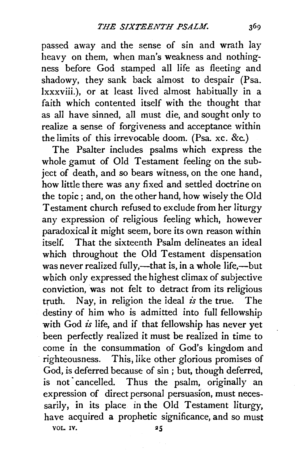passed away and the sense of sin and wrath lay heavy on them, when man's weakness and nothingness before God stamped all life as fleeting and shadowy, they sank back almost to despair (Psa. Ixxxviii.), or at least lived almost habitually in a faith which contented itself with the thought that as all have sinned, all must die, and sought only to realize a sense of forgiveness and acceptance within the limits of this irrevocable doom. (Psa. xc. &c.)

The Psalter includes psalms which express the whole gamut of Old Testament feeling on the subject of death, and so bears witness, on the one hand, how little there was any fixed and settled doctrine on the topic ; and, on the other hand, how wisely the Old Testament church refused to exclude from her liturgy any expression of religious feeling which, however paradoxical it might seem, bore its own reason within<br>itself. That the sixteenth Psalm delineates an ideal That the sixteenth Psalm delineates an ideal which throughout the Old Testament dispensation was never realized fully,—that is, in a whole life,—but which only expressed the highest climax of subjective conviction, was not felt to detract from its religious truth. Nay, in religion the ideal *is* the true. The destiny of him who is admitted into full fellowship with God  $i$ s life, and if that fellowship has never yet been perfectly realized it must be realized in time to come in the consummation of God's kingdom and righteousness. This, like other glorious promises of God, is deferred because of sin ; but, though deferred, is not cancelled. Thus the psalm, originally an expression of direct personal persuasion, must necessarily, in its place in the Old Testament liturgy, have acquired a prophetic significance, and so must VOL IV.  $25$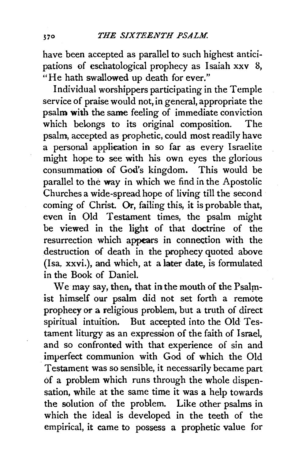have been accepted as parallel to such highest anticipations of eschatological prophecy as Isaiah xxv 8, "He hath swallowed up death for ever."

Individual worshippers participating in the Temple service of praise would not, in general, appropriate the psalm with the same feeling of immediate conviction which belongs to its original composition. The psalm, accepted as prophetic, could most readily have a personal application in so far as every Israelite might hope to see with his own eyes the glorious consummation of God's kingdom. This would be parallel to the way in which we find in the Apostolic Churches a wide~spread hope of living till the second coming of Christ. Or, failing this, it is probable that, even in Old Testament times, the psalm might be viewed in the light of that doctrine of the resurrection which appears in connection with the destruction of death in the prophecy quoted above (lsa. xxvi.), and which, at a later date, is formulated in the Book of Daniel.

We may say, then, that in the mouth of the Psalmist himself our psalm did not set forth a remote prophecy or a religious problem, but a truth of direct spiritual intuition. But accepted into the Old Testament liturgy as an expression of the faith of Israel, and so confronted with that experience of sin and . imperfect communion with God of which the Old Testament was so sensible, it necessarily became part of a problem which runs through the whole dispensation, while at the same time it was a help towards the solution of the problem. Like other psalms in which the ideal is developed in the teeth of the empirical, it came to possess a prophetic value for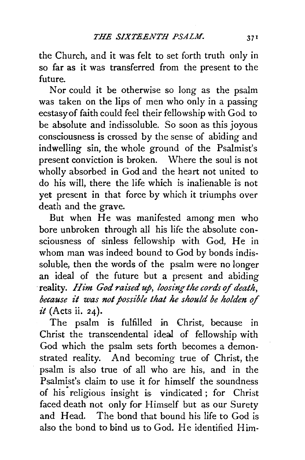the Church, and it was felt to set forth truth only in so far as it was transferred from the present to the future.

Nor could it be otherwise so long as the psalm was taken on the lips of men who only in a passing ecstasy of faith could feel their fellowship with God to be absolute and indissoluble. So soon as this joyous consciousness is crossed by the sense of abiding and indwelling sin, the whole ground of the Psalmist's present conviction is broken. Where the soul is not wholly absorbed in God and the heart not united to do his will, there the life which is inalienable is not yet present in that force by which it triumphs over death and the grave.

But when He was manifested among men who bore unbroken through all his life the absolute consciousness of sinless fellowship with God, He in whom man was indeed bound to God by bonds indissoluble, then the words of the psalm were no longer an ideal of the future but a present and abiding ·reality. *Him God raised up, loosing the cords of death, because it was not possible that he should be holden of it* (Acts ii. 24).

The psalm is fulfilled in Christ, because in Christ the transcendental ideal of fellowship with God which the psalm sets forth becomes a demonstrated reality. And becoming true of Christ, the psalm is also true of all who are his, and in the Psalmist's claim to use it for himself the soundness of his· religious insight is vindicated ; for Christ faced death not only for Himself but as our Surety and Head. The bond that bound his life to God is also the bond to bind us to God. He identified Him